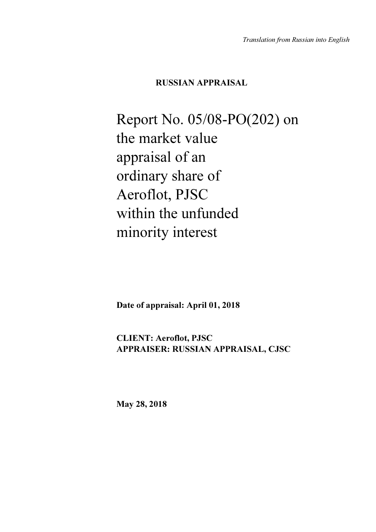## RUSSIAN APPRAISAL

Report No. 05/08-РО(202) on the market value appraisal of an ordinary share of Aeroflot, PJSC within the unfunded minority interest

Date of appraisal: April 01, 2018

CLIENT: Aeroflot, PJSC APPRAISER: RUSSIAN APPRAISAL, CJSC

May 28, 2018